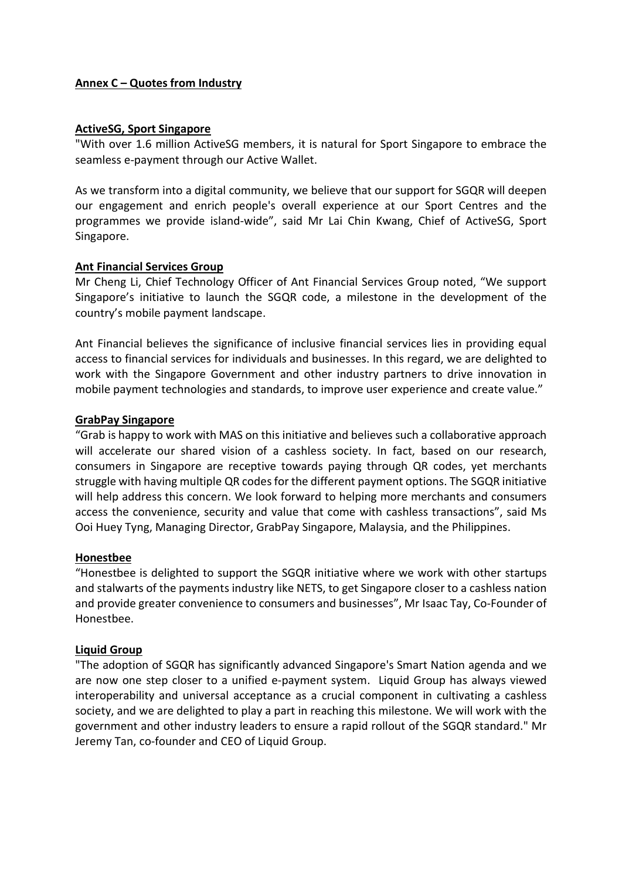## Annex C – Quotes from Industry

#### ActiveSG, Sport Singapore

"With over 1.6 million ActiveSG members, it is natural for Sport Singapore to embrace the seamless e-payment through our Active Wallet.

As we transform into a digital community, we believe that our support for SGQR will deepen our engagement and enrich people's overall experience at our Sport Centres and the programmes we provide island-wide", said Mr Lai Chin Kwang, Chief of ActiveSG, Sport Singapore.

### Ant Financial Services Group

Mr Cheng Li, Chief Technology Officer of Ant Financial Services Group noted, "We support Singapore's initiative to launch the SGQR code, a milestone in the development of the country's mobile payment landscape.

Ant Financial believes the significance of inclusive financial services lies in providing equal access to financial services for individuals and businesses. In this regard, we are delighted to work with the Singapore Government and other industry partners to drive innovation in mobile payment technologies and standards, to improve user experience and create value."

### GrabPay Singapore

"Grab is happy to work with MAS on this initiative and believes such a collaborative approach will accelerate our shared vision of a cashless society. In fact, based on our research, consumers in Singapore are receptive towards paying through QR codes, yet merchants struggle with having multiple QR codes for the different payment options. The SGQR initiative will help address this concern. We look forward to helping more merchants and consumers access the convenience, security and value that come with cashless transactions", said Ms Ooi Huey Tyng, Managing Director, GrabPay Singapore, Malaysia, and the Philippines.

# Honestbee

"Honestbee is delighted to support the SGQR initiative where we work with other startups and stalwarts of the payments industry like NETS, to get Singapore closer to a cashless nation and provide greater convenience to consumers and businesses", Mr Isaac Tay, Co-Founder of Honestbee.

### Liquid Group

"The adoption of SGQR has significantly advanced Singapore's Smart Nation agenda and we are now one step closer to a unified e-payment system. Liquid Group has always viewed interoperability and universal acceptance as a crucial component in cultivating a cashless society, and we are delighted to play a part in reaching this milestone. We will work with the government and other industry leaders to ensure a rapid rollout of the SGQR standard." Mr Jeremy Tan, co-founder and CEO of Liquid Group.